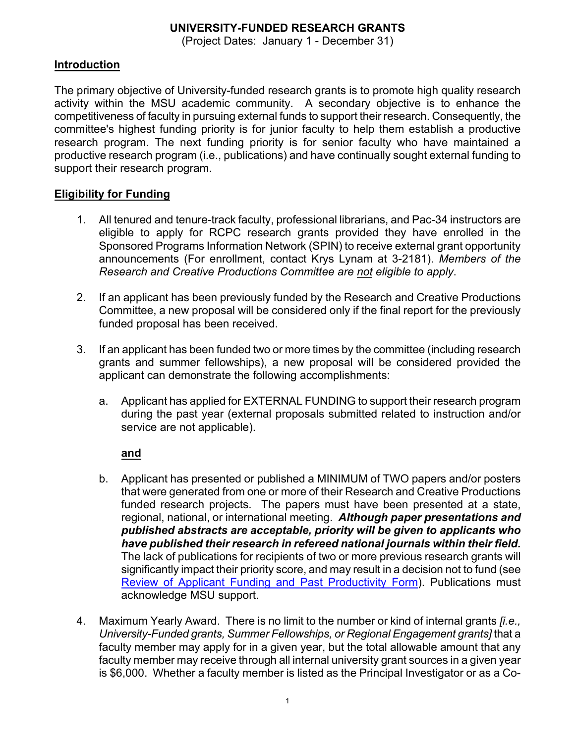## **UNIVERSITY-FUNDED RESEARCH GRANTS**

(Project Dates: January 1 - December 31)

## **Introduction**

The primary objective of University-funded research grants is to promote high quality research activity within the MSU academic community. A secondary objective is to enhance the competitiveness of faculty in pursuing external funds to support their research. Consequently, the committee's highest funding priority is for junior faculty to help them establish a productive research program. The next funding priority is for senior faculty who have maintained a productive research program (i.e., publications) and have continually sought external funding to support their research program.

## **Eligibility for Funding**

- 1. All tenured and tenure-track faculty, professional librarians, and Pac-34 instructors are eligible to apply for RCPC research grants provided they have enrolled in the Sponsored Programs Information Network (SPIN) to receive external grant opportunity announcements (For enrollment, contact Krys Lynam at 3-2181). *Members of the Research and Creative Productions Committee are not eligible to apply*.
- 2. If an applicant has been previously funded by the Research and Creative Productions Committee, a new proposal will be considered only if the final report for the previously funded proposal has been received.
- 3. If an applicant has been funded two or more times by the committee (including research grants and summer fellowships), a new proposal will be considered provided the applicant can demonstrate the following accomplishments:
	- a. Applicant has applied for EXTERNAL FUNDING to support their research program during the past year (external proposals submitted related to instruction and/or service are not applicable).

### **and**

- b. Applicant has presented or published a MINIMUM of TWO papers and/or posters that were generated from one or more of their Research and Creative Productions funded research projects. The papers must have been presented at a state, regional, national, or international meeting. *Although paper presentations and published abstracts are acceptable, priority will be given to applicants who have published their research in refereed national journals within their field.* The lack of publications for recipients of two or more previous research grants will significantly impact their priority score, and may result in a decision not to fund (see Review of Applicant Funding and Past Productivity Form). Publications must acknowledge MSU support.
- 4. Maximum Yearly Award.There is no limit to the number or kind of internal grants *[i.e., University-Funded grants, Summer Fellowships, or Regional Engagement grants]* that a faculty member may apply for in a given year, but the total allowable amount that any faculty member may receive through all internal university grant sources in a given year is \$6,000. Whether a faculty member is listed as the Principal Investigator or as a Co-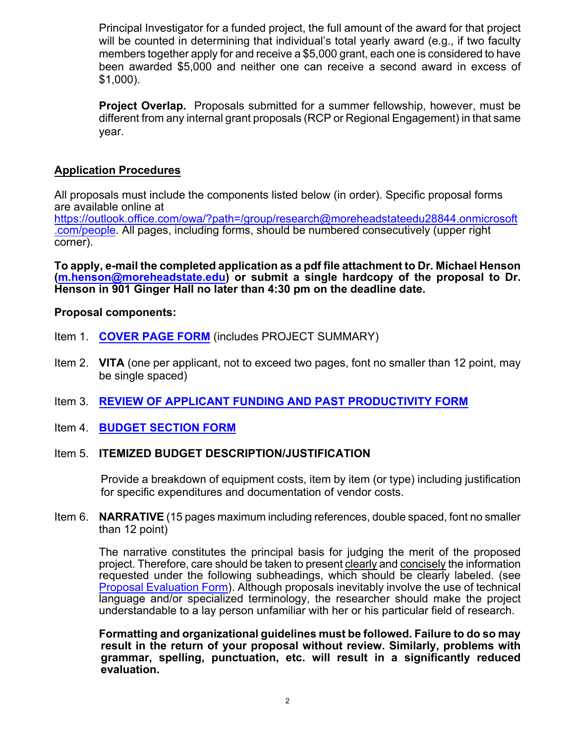Principal Investigator for a funded project, the full amount of the award for that project will be counted in determining that individual's total yearly award (e.g., if two faculty members together apply for and receive a \$5,000 grant, each one is considered to have been awarded \$5,000 and neither one can receive a second award in excess of \$1,000).

**Project Overlap.** Proposals submitted for a summer fellowship, however, must be different from any internal grant proposals (RCP or Regional Engagement) in that same year.

## **Application Procedures**

All proposals must include the components listed below (in order). Specific proposal forms are available online at

https://outlook.office.com/owa/?path=/group/research@moreheadstateedu28844.onmicrosoft .com/people. All pages, including forms, should be numbered consecutively (upper right corner).

**To apply, e-mail the completed application as a pdf file attachment to Dr. Michael Henson (m.henson@moreheadstate.edu) or submit a single hardcopy of the proposal to Dr. Henson in 901 Ginger Hall no later than 4:30 pm on the deadline date.**

#### **Proposal components:**

- Item 1. **COVER PAGE FORM** (includes PROJECT SUMMARY)
- Item 2. **VITA** (one per applicant, not to exceed two pages, font no smaller than 12 point, may be single spaced)
- Item 3. **REVIEW OF APPLICANT FUNDING AND PAST PRODUCTIVITY FORM**
- Item 4. **BUDGET SECTION FORM**

### Item 5. **ITEMIZED BUDGET DESCRIPTION/JUSTIFICATION**

Provide a breakdown of equipment costs, item by item (or type) including justification for specific expenditures and documentation of vendor costs.

Item 6. **NARRATIVE** (15 pages maximum including references, double spaced, font no smaller than 12 point)

The narrative constitutes the principal basis for judging the merit of the proposed project. Therefore, care should be taken to present clearly and concisely the information requested under the following subheadings, which should be clearly labeled. (see Proposal Evaluation Form). Although proposals inevitably involve the use of technical language and/or specialized terminology, the researcher should make the project understandable to a lay person unfamiliar with her or his particular field of research.

**Formatting and organizational guidelines must be followed. Failure to do so may result in the return of your proposal without review. Similarly, problems with grammar, spelling, punctuation, etc. will result in a significantly reduced evaluation.**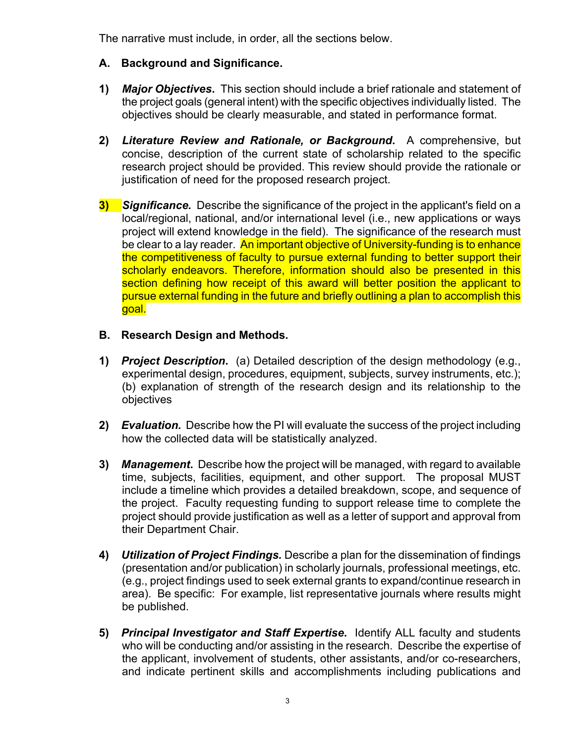The narrative must include, in order, all the sections below.

- **A. Background and Significance.**
- **1)** *Major Objectives***.** This section should include a brief rationale and statement of the project goals (general intent) with the specific objectives individually listed. The objectives should be clearly measurable, and stated in performance format.
- **2)** *Literature Review and Rationale, or Background***.** A comprehensive, but concise, description of the current state of scholarship related to the specific research project should be provided. This review should provide the rationale or justification of need for the proposed research project.
- **3)** *Significance.* Describe the significance of the project in the applicant's field on a local/regional, national, and/or international level (i.e., new applications or ways project will extend knowledge in the field). The significance of the research must be clear to a lay reader. An important objective of University-funding is to enhance the competitiveness of faculty to pursue external funding to better support their scholarly endeavors. Therefore, information should also be presented in this section defining how receipt of this award will better position the applicant to pursue external funding in the future and briefly outlining a plan to accomplish this goal.
- **B. Research Design and Methods.**
- **1)** *Project Description***.** (a) Detailed description of the design methodology (e.g., experimental design, procedures, equipment, subjects, survey instruments, etc.); (b) explanation of strength of the research design and its relationship to the objectives
- **2)** *Evaluation.* Describe how the PI will evaluate the success of the project including how the collected data will be statistically analyzed.
- **3)** *Management***.** Describe how the project will be managed, with regard to available time, subjects, facilities, equipment, and other support. The proposal MUST include a timeline which provides a detailed breakdown, scope, and sequence of the project. Faculty requesting funding to support release time to complete the project should provide justification as well as a letter of support and approval from their Department Chair.
- **4)** *Utilization of Project Findings.* Describe a plan for the dissemination of findings (presentation and/or publication) in scholarly journals, professional meetings, etc. (e.g., project findings used to seek external grants to expand/continue research in area). Be specific: For example, list representative journals where results might be published.
- **5)** *Principal Investigator and Staff Expertise***.** Identify ALL faculty and students who will be conducting and/or assisting in the research. Describe the expertise of the applicant, involvement of students, other assistants, and/or co-researchers, and indicate pertinent skills and accomplishments including publications and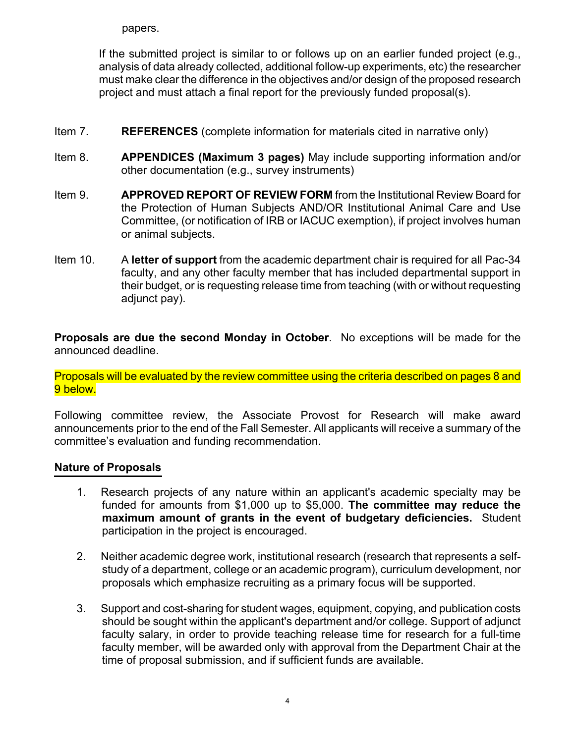papers.

If the submitted project is similar to or follows up on an earlier funded project (e.g., analysis of data already collected, additional follow-up experiments, etc) the researcher must make clear the difference in the objectives and/or design of the proposed research project and must attach a final report for the previously funded proposal(s).

- Item 7. **REFERENCES** (complete information for materials cited in narrative only)
- Item 8. **APPENDICES (Maximum 3 pages)** May include supporting information and/or other documentation (e.g., survey instruments)
- Item 9. **APPROVED REPORT OF REVIEW FORM** from the Institutional Review Board for the Protection of Human Subjects AND/OR Institutional Animal Care and Use Committee, (or notification of IRB or IACUC exemption), if project involves human or animal subjects.
- Item 10. A **letter of support** from the academic department chair is required for all Pac-34 faculty, and any other faculty member that has included departmental support in their budget, or is requesting release time from teaching (with or without requesting adjunct pay).

**Proposals are due the second Monday in October**. No exceptions will be made for the announced deadline.

Proposals will be evaluated by the review committee using the criteria described on pages 8 and 9 below.

Following committee review, the Associate Provost for Research will make award announcements prior to the end of the Fall Semester. All applicants will receive a summary of the committee's evaluation and funding recommendation.

### **Nature of Proposals**

- 1. Research projects of any nature within an applicant's academic specialty may be funded for amounts from \$1,000 up to \$5,000. **The committee may reduce the maximum amount of grants in the event of budgetary deficiencies.** Student participation in the project is encouraged.
- 2. Neither academic degree work, institutional research (research that represents a selfstudy of a department, college or an academic program), curriculum development, nor proposals which emphasize recruiting as a primary focus will be supported.
- 3. Support and cost-sharing for student wages, equipment, copying, and publication costs should be sought within the applicant's department and/or college. Support of adjunct faculty salary, in order to provide teaching release time for research for a full-time faculty member, will be awarded only with approval from the Department Chair at the time of proposal submission, and if sufficient funds are available.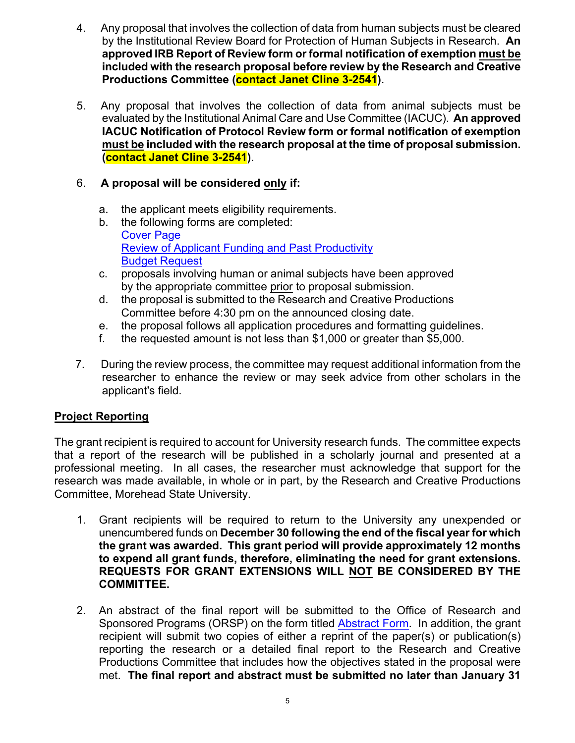- 4. Any proposal that involves the collection of data from human subjects must be cleared by the Institutional Review Board for Protection of Human Subjects in Research. **An approved IRB Report of Review form or formal notification of exemption must be included with the research proposal before review by the Research and Creative Productions Committee (contact Janet Cline 3-2541)**.
- 5. Any proposal that involves the collection of data from animal subjects must be evaluated by the Institutional Animal Care and Use Committee (IACUC). **An approved IACUC Notification of Protocol Review form or formal notification of exemption must be included with the research proposal at the time of proposal submission. (contact Janet Cline 3-2541)**.

## 6. **A proposal will be considered only if:**

- a. the applicant meets eligibility requirements.
- b. the following forms are completed: Cover Page Review of Applicant Funding and Past Productivity Budget Request
- c. proposals involving human or animal subjects have been approved by the appropriate committee prior to proposal submission.
- d. the proposal is submitted to the Research and Creative Productions Committee before 4:30 pm on the announced closing date.
- e. the proposal follows all application procedures and formatting guidelines.
- f. the requested amount is not less than \$1,000 or greater than \$5,000.
- 7. During the review process, the committee may request additional information from the researcher to enhance the review or may seek advice from other scholars in the applicant's field.

## **Project Reporting**

The grant recipient is required to account for University research funds. The committee expects that a report of the research will be published in a scholarly journal and presented at a professional meeting. In all cases, the researcher must acknowledge that support for the research was made available, in whole or in part, by the Research and Creative Productions Committee, Morehead State University.

- 1. Grant recipients will be required to return to the University any unexpended or unencumbered funds on **December 30 following the end of the fiscal year for which the grant was awarded. This grant period will provide approximately 12 months to expend all grant funds, therefore, eliminating the need for grant extensions. REQUESTS FOR GRANT EXTENSIONS WILL NOT BE CONSIDERED BY THE COMMITTEE.**
- 2. An abstract of the final report will be submitted to the Office of Research and Sponsored Programs (ORSP) on the form titled Abstract Form. In addition, the grant recipient will submit two copies of either a reprint of the paper(s) or publication(s) reporting the research or a detailed final report to the Research and Creative Productions Committee that includes how the objectives stated in the proposal were met. **The final report and abstract must be submitted no later than January 31**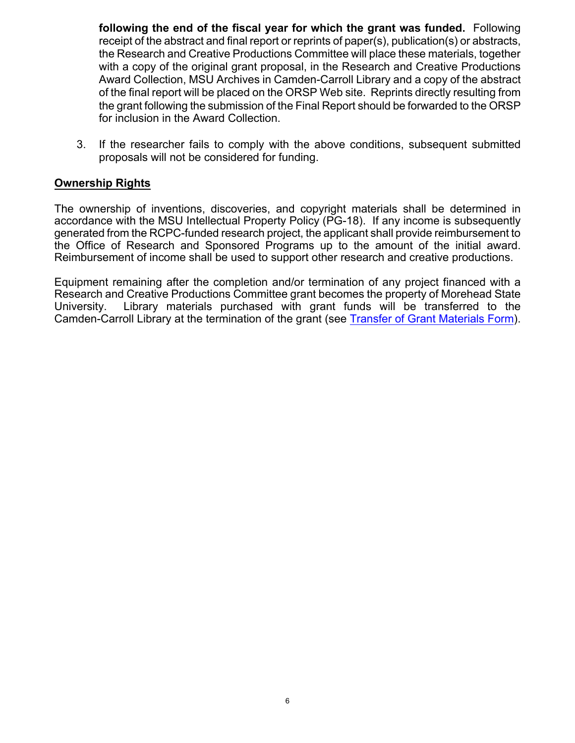**following the end of the fiscal year for which the grant was funded.** Following receipt of the abstract and final report or reprints of paper(s), publication(s) or abstracts, the Research and Creative Productions Committee will place these materials, together with a copy of the original grant proposal, in the Research and Creative Productions Award Collection, MSU Archives in Camden-Carroll Library and a copy of the abstract of the final report will be placed on the ORSP Web site. Reprints directly resulting from the grant following the submission of the Final Report should be forwarded to the ORSP for inclusion in the Award Collection.

3. If the researcher fails to comply with the above conditions, subsequent submitted proposals will not be considered for funding.

### **Ownership Rights**

The ownership of inventions, discoveries, and copyright materials shall be determined in accordance with the MSU Intellectual Property Policy (PG-18). If any income is subsequently generated from the RCPC-funded research project, the applicant shall provide reimbursement to the Office of Research and Sponsored Programs up to the amount of the initial award. Reimbursement of income shall be used to support other research and creative productions.

Equipment remaining after the completion and/or termination of any project financed with a Research and Creative Productions Committee grant becomes the property of Morehead State University. Library materials purchased with grant funds will be transferred to the Camden-Carroll Library at the termination of the grant (see Transfer of Grant Materials Form).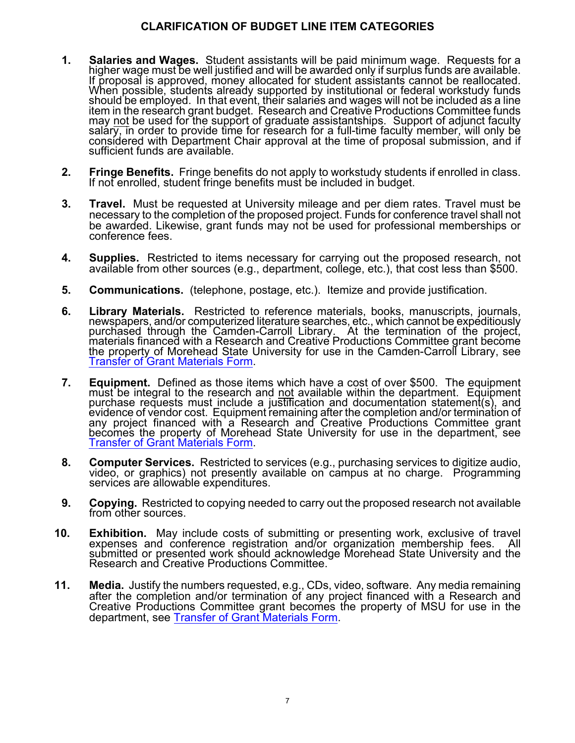## **CLARIFICATION OF BUDGET LINE ITEM CATEGORIES**

- 1. Salaries and Wages. Student assistants will be paid minimum wage. Requests for a higher wage must be well justified and will be awarded only if surplus funds are available. If proposal is approved, money allocated for s When possible, students already supported by institutional or federal workstudy funds should be employed. In that event, their salaries and wages will not be included as a line item in the research grant budget. Research and Creative Productions Committee funds may not be used for the support of graduate assistantships. Support of adjunct faculty<br>salary, in order to provide time for research for a full-time faculty member, will only be<br>considered with Department Chair approval at sufficient funds are available.
- **2. Fringe Benefits.** Fringe benefits do not apply to workstudy students if enrolled in class. If not enrolled, student fringe benefits must be included in budget.
- **3. Travel.** Must be requested at University mileage and per diem rates. Travel must be necessary to the completion of the proposed project. Funds for conference travel shall not be awarded. Likewise, grant funds may not be used for professional memberships or conference fees.
- **4. Supplies.** Restricted to items necessary for carrying out the proposed research, not available from other sources (e.g., department, college, etc.), that cost less than \$500.
- **5. Communications.** (telephone, postage, etc.). Itemize and provide justification.
- 6. Library Materials. Restricted to reference materials, books, manuscripts, journals, newspapers, and/or computerized literature searches, etc., which cannot be expeditiously purchased through the Camden-Carroll Library. the property of Morehead State University for use in the Camden-Carroll Library, see<br>Transfer of Grant Materials Form.
- 7. Equipment. Defined as those items which have a cost of over \$500. The equipment must be integral to the research and not available within the department. Equipment purchase requests must include a justification and docu evidence of vendor cost. Equipment remaining after the completion and/or termination of any project financed with a Research and Creative Productions Committee grant becomes the property of Morehead State University for use in the department, see Transfer of Grant Materials Form.
- **8. Computer Services.** Restricted to services (e.g., purchasing services to digitize audio, video, or graphics) not presently available on campus at no charge. Programming services are allowable expenditures.
- **9. Copying.** Restricted to copying needed to carry out the proposed research not available from other sources.
- **10. Exhibition.** May include costs of submitting or presenting work, exclusive of travel expenses and conference registration and/or organization membership fees. All submitted or presented work should acknowledge Morehead State University and the Research and Creative Productions Committee.
- **11. Media.** Justify the numbers requested, e.g., CDs, video, software. Any media remaining after the completion and/or termination of any project financed with a Research and Creative Productions Committee grant becomes the property of MSU for use in the department, see Transfer of Grant Materials Form.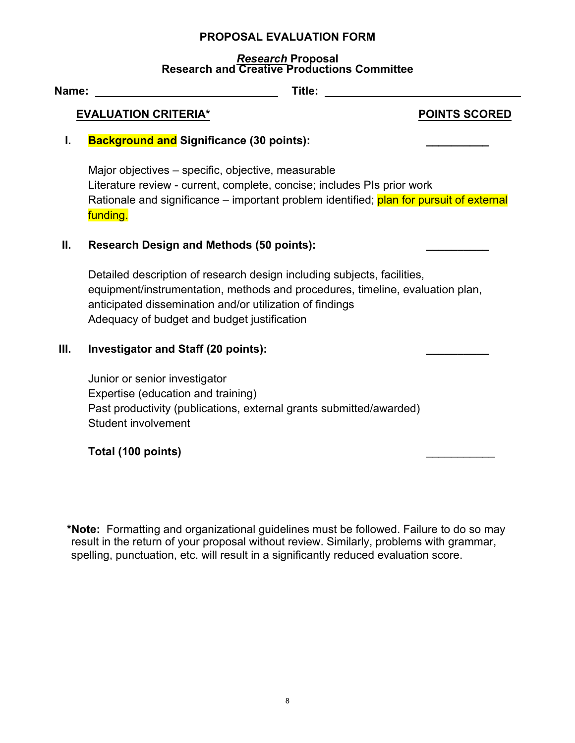### **PROPOSAL EVALUATION FORM**

#### *Research* **Proposal Research and Creative Productions Committee**

| Name: | Title:                                                                                                                                                                                                                                                              |                      |
|-------|---------------------------------------------------------------------------------------------------------------------------------------------------------------------------------------------------------------------------------------------------------------------|----------------------|
|       | <b>EVALUATION CRITERIA*</b>                                                                                                                                                                                                                                         | <b>POINTS SCORED</b> |
| I.    | <b>Background and Significance (30 points):</b>                                                                                                                                                                                                                     |                      |
|       | Major objectives – specific, objective, measurable<br>Literature review - current, complete, concise; includes PIs prior work<br>Rationale and significance – important problem identified; plan for pursuit of external<br>funding.                                |                      |
| Ⅱ.    | <b>Research Design and Methods (50 points):</b>                                                                                                                                                                                                                     |                      |
|       | Detailed description of research design including subjects, facilities,<br>equipment/instrumentation, methods and procedures, timeline, evaluation plan,<br>anticipated dissemination and/or utilization of findings<br>Adequacy of budget and budget justification |                      |
| Ш.    | <b>Investigator and Staff (20 points):</b>                                                                                                                                                                                                                          |                      |
|       | Junior or senior investigator<br>Expertise (education and training)<br>Past productivity (publications, external grants submitted/awarded)<br><b>Student involvement</b>                                                                                            |                      |
|       | Total (100 points)                                                                                                                                                                                                                                                  |                      |
|       |                                                                                                                                                                                                                                                                     |                      |

**\*Note:** Formatting and organizational guidelines must be followed. Failure to do so may result in the return of your proposal without review. Similarly, problems with grammar, spelling, punctuation, etc. will result in a significantly reduced evaluation score.